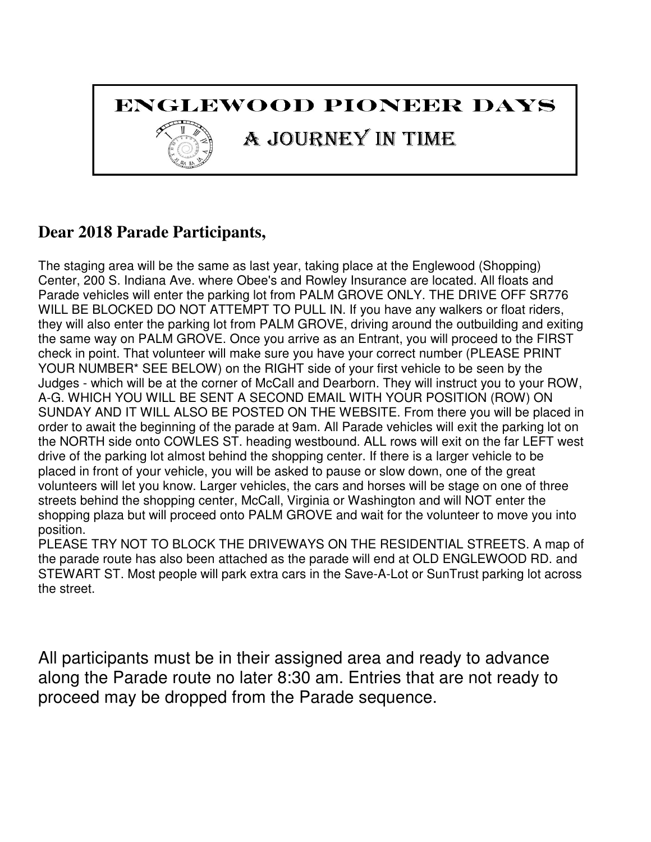### ENGLEWOOD PIONEER DAYS

# A JOURNEY IN TIME

### **Dear 2018 Parade Participants,**

The staging area will be the same as last year, taking place at the Englewood (Shopping) Center, 200 S. Indiana Ave. where Obee's and Rowley Insurance are located. All floats and Parade vehicles will enter the parking lot from PALM GROVE ONLY. THE DRIVE OFF SR776 WILL BE BLOCKED DO NOT ATTEMPT TO PULL IN. If you have any walkers or float riders, they will also enter the parking lot from PALM GROVE, driving around the outbuilding and exiting the same way on PALM GROVE. Once you arrive as an Entrant, you will proceed to the FIRST check in point. That volunteer will make sure you have your correct number (PLEASE PRINT YOUR NUMBER\* SEE BELOW) on the RIGHT side of your first vehicle to be seen by the Judges - which will be at the corner of McCall and Dearborn. They will instruct you to your ROW, A-G. WHICH YOU WILL BE SENT A SECOND EMAIL WITH YOUR POSITION (ROW) ON SUNDAY AND IT WILL ALSO BE POSTED ON THE WEBSITE. From there you will be placed in order to await the beginning of the parade at 9am. All Parade vehicles will exit the parking lot on the NORTH side onto COWLES ST. heading westbound. ALL rows will exit on the far LEFT west drive of the parking lot almost behind the shopping center. If there is a larger vehicle to be placed in front of your vehicle, you will be asked to pause or slow down, one of the great volunteers will let you know. Larger vehicles, the cars and horses will be stage on one of three streets behind the shopping center, McCall, Virginia or Washington and will NOT enter the shopping plaza but will proceed onto PALM GROVE and wait for the volunteer to move you into position.

PLEASE TRY NOT TO BLOCK THE DRIVEWAYS ON THE RESIDENTIAL STREETS. A map of the parade route has also been attached as the parade will end at OLD ENGLEWOOD RD. and STEWART ST. Most people will park extra cars in the Save-A-Lot or SunTrust parking lot across the street.

All participants must be in their assigned area and ready to advance along the Parade route no later 8:30 am. Entries that are not ready to proceed may be dropped from the Parade sequence.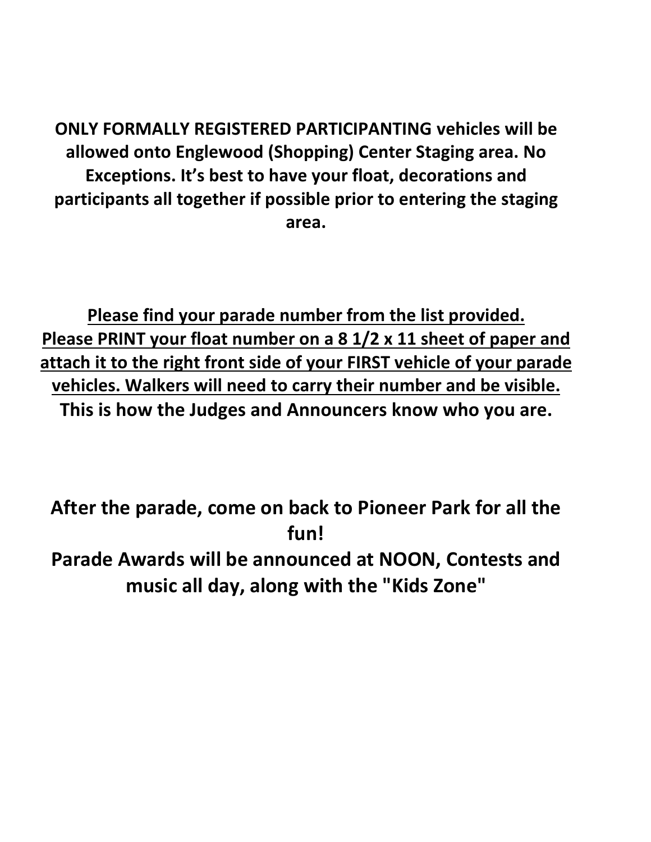ONLY FORMALLY REGISTERED PARTICIPANTING vehicles will be allowed onto Englewood (Shopping) Center Staging area. No Exceptions. It's best to have your float, decorations and participants all together if possible prior to entering the staging area.

Please find your parade number from the list provided. Please PRINT your float number on a 8 1/2 x 11 sheet of paper and attach it to the right front side of your FIRST vehicle of your parade vehicles. Walkers will need to carry their number and be visible. This is how the Judges and Announcers know who you are.

After the parade, come on back to Pioneer Park for all the fun! Parade Awards will be announced at NOON, Contests and music all day, along with the "Kids Zone"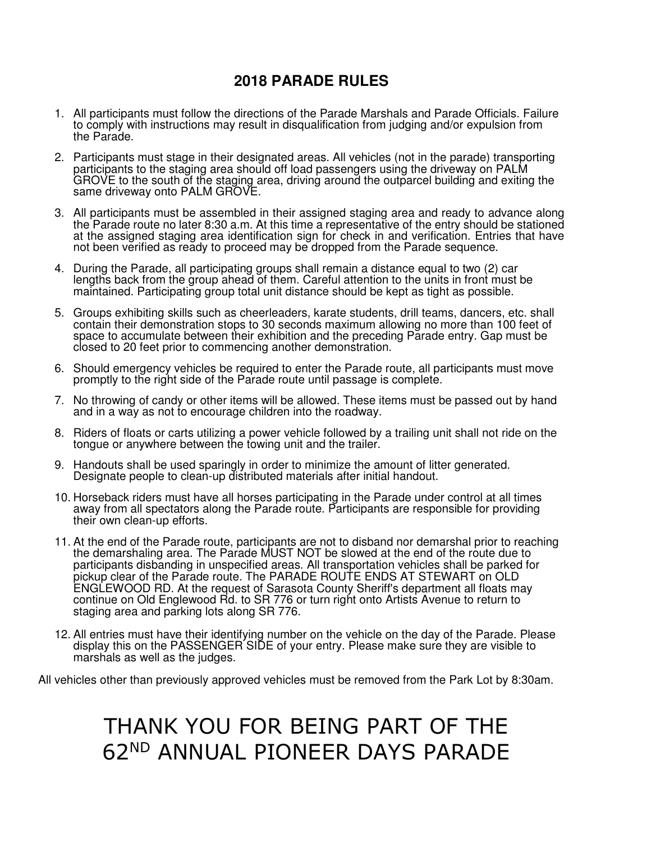#### **2018 PARADE RULES**

- 1. All participants must follow the directions of the Parade Marshals and Parade Officials. Failure to comply with instructions may result in disqualification from judging and/or expulsion from the Parade.
- 2. Participants must stage in their designated areas. All vehicles (not in the parade) transporting participants to the staging area should off load passengers using the driveway on PALM GROVE to the south of the staging area, driving around the outparcel building and exiting the same driveway onto PALM GROVE.
- 3. All participants must be assembled in their assigned staging area and ready to advance along the Parade route no later 8:30 a.m. At this time a representative of the entry should be stationed at the assigned staging area identification sign for check in and verification. Entries that have not been verified as ready to proceed may be dropped from the Parade sequence.
- 4. During the Parade, all participating groups shall remain a distance equal to two (2) car lengths back from the group ahead of them. Careful attention to the units in front must be maintained. Participating group total unit distance should be kept as tight as possible.
- 5. Groups exhibiting skills such as cheerleaders, karate students, drill teams, dancers, etc. shall contain their demonstration stops to 30 seconds maximum allowing no more than 100 feet of space to accumulate between their exhibition and the preceding Parade entry. Gap must be closed to 20 feet prior to commencing another demonstration.
- 6. Should emergency vehicles be required to enter the Parade route, all participants must move promptly to the right side of the Parade route until passage is complete.
- 7. No throwing of candy or other items will be allowed. These items must be passed out by hand and in a way as not to encourage children into the roadway.
- 8. Riders of floats or carts utilizing a power vehicle followed by a trailing unit shall not ride on the tongue or anywhere between the towing unit and the trailer.
- 9. Handouts shall be used sparingly in order to minimize the amount of litter generated. Designate people to clean-up distributed materials after initial handout.
- 10. Horseback riders must have all horses participating in the Parade under control at all times away from all spectators along the Parade route. Participants are responsible for providing their own clean-up efforts.
- 11. At the end of the Parade route, participants are not to disband nor demarshal prior to reaching the demarshaling area. The Parade MUST NOT be slowed at the end of the route due to participants disbanding in unspecified areas. All transportation vehicles shall be parked for pickup clear of the Parade route. The PARADE ROUTE ENDS AT STEWART on OLD ENGLEWOOD RD. At the request of Sarasota County Sheriff's department all floats may continue on Old Englewood Rd. to SR 776 or turn right onto Artists Avenue to return to staging area and parking lots along SR 776.
- 12. All entries must have their identifying number on the vehicle on the day of the Parade. Please display this on the PASSENGER SIDE of your entry. Please make sure they are visible to marshals as well as the judges.

All vehicles other than previously approved vehicles must be removed from the Park Lot by 8:30am.

# THANK YOU FOR BEING PART OF THE 62ND ANNUAL PIONEER DAYS PARADE